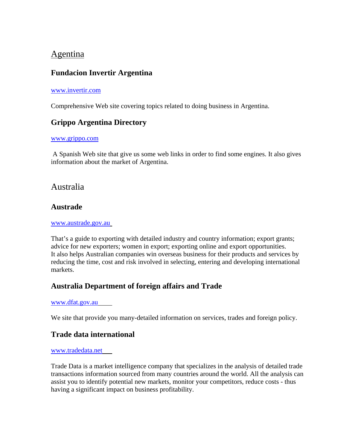# Agentina

# **Fundacion Invertir Argentina**

#### [www.invertir.com](http://www.invertir.com/)

Comprehensive Web site covering topics related to doing business in Argentina.

# **Grippo Argentina Directory**

#### [www.grippo.com](http://www.grippo.com/)

 A Spanish Web site that give us some web links in order to find some engines. It also gives information about the market of Argentina.

# Australia

### **Austrade**

#### [www.austrade.gov.au](http://www.austrade.gov.au/)

That's a guide to exporting with detailed [industry and country](http://www.austrade.gov.au/australia/layout/0,,0_S2-1_CLNTXID0019-2_-3_-4_-5_-6_-7_,00.html) information; [export grants;](http://www.austrade.gov.au/australia/layout/0,,0_S2-1_CLNTXID0021-2_-3_-4_-5_-6_-7_,00.html) advice for [new exporters;](http://www.austrade.gov.au/australia/layout/0,,0_S2-1_CLNTXID001-2_-3_-4_-5_-6_-7_,00.html) [women in export;](http://www.austrade.gov.au/australia/layout/0,,0_S2-1_2zd-2_-3_PWB1925288-4_generic-5_-6_-7_,00.html) [exporting online](http://www.austrade.gov.au/australia/layout/0,,0_S2-1_CLNTXID009-2_-3_-4_-5_-6_-7_,00.html) and [export opportunities](http://www.austrade.gov.au/australia/layout/0,,0_S2-1_CLNTXID0011-2_-3_-4_-5_-6_-7_,00.html). It also helps Australian companies win overseas business for their products and services by reducing the time, cost and risk involved in selecting, entering and developing international markets.

## **Australia Department of foreign affairs and Trade**

#### [www.dfat.gov.au](http://www.dfat.gov.au/)

We site that provide you many-detailed information on services, trades and foreign policy.

### **Trade data international**

#### [www.tradedata.net](http://www.tradedata.net/)

Trade Data is a market intelligence company that specializes in the analysis of detailed trade transactions information sourced from many countries around the world. All the analysis can assist you to identify potential new markets, monitor your competitors, reduce costs - thus having a significant impact on business profitability.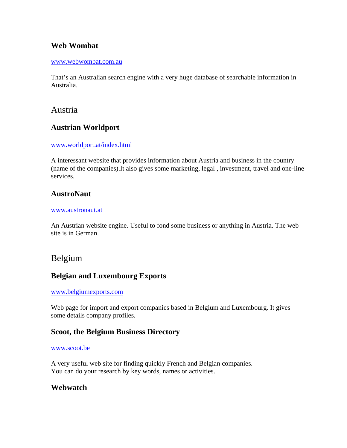## **Web Wombat**

#### [www.webwombat.com.au](http://www.webwombat.com.au/)

That's an Australian search engine with a very huge database of searchable information in Australia.

### Austria

### **Austrian Worldport**

#### [www.worldport.at/index.html](http://www.worldport.at/index.html)

A interessant website that provides information about Austria and business in the country (name of the companies).It also gives some marketing, legal , investment, travel and one-line services.

### **AustroNaut**

#### [www.austronaut.at](http://www.austronaut.at/)

An Austrian website engine. Useful to fond some business or anything in Austria. The web site is in German.

## Belgium

### **Belgian and Luxembourg Exports**

#### [www.belgiumexports.com](http://www.belgiumexports.com/)

Web page for import and export companies based in Belgium and Luxembourg. It gives some details company profiles.

### **Scoot, the Belgium Business Directory**

#### [www.scoot.be](http://www.scoot.be/)

A very useful web site for finding quickly French and Belgian companies. You can do your research by key words, names or activities.

### **Webwatch**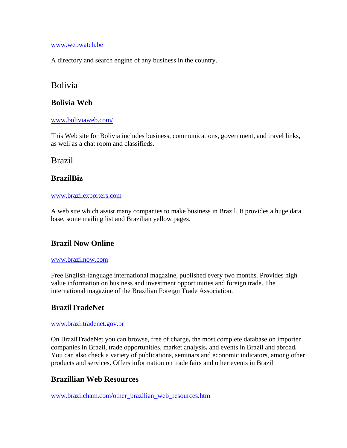#### [www.webwatch.be](http://www.webwatch.be/)

A directory and search engine of any business in the country.

# Bolivia

### **Bolivia Web**

#### [www.boliviaweb.com/](http://www.boliviaweb.com/)

This Web site for Bolivia includes business, communications, government, and travel links, as well as a chat room and classifieds.

## Brazil

## **BrazilBiz**

#### [www.brazilexporters.com](http://www.brazilexporters.com/)

A web site which assist many companies to make business in Brazil. It provides a huge data base, some mailing list and Brazilian yellow pages.

## **Brazil Now Online**

#### [www.brazilnow.com](http://www.brazilnow.com/)

Free English-language international magazine, published every two months. Provides high value information on business and investment opportunities and foreign trade. The international magazine of the Brazilian Foreign Trade Association.

## **BrazilTradeNet**

#### [www.braziltradenet.gov.br](http://www.braziltradenet.gov.br/)

On BrazilTradeNet you can browse, free of charge**,** the most complete database on importer companies in Brazil, trade opportunities, market analysis**,** and events in Brazil and abroad**.**  You can also check a variety of publications, seminars and economic indicators, among other products and services. Offers information on trade fairs and other events in Brazil

## **Brazillian Web Resources**

[www.brazilcham.com/other\\_brazilian\\_web\\_resources.htm](http://www.brazilcham.com/other_brazilian_web_resources.htm)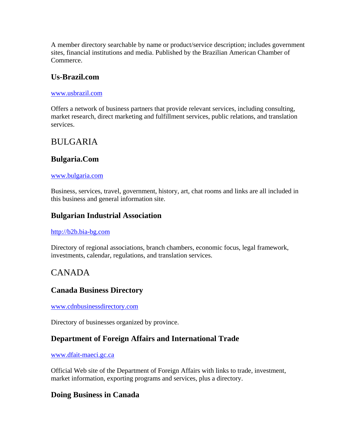A member directory searchable by name or product/service description; includes government sites, financial institutions and media. Published by the Brazilian American Chamber of Commerce.

### **Us-Brazil.com**

#### [www.usbrazil.com](http://www.usbrazil.com/)

Offers a network of business partners that provide relevant services, including consulting, market research, direct marketing and fulfillment services, public relations, and translation services.

# BULGARIA

# **Bulgaria.Com**

#### [www.bulgaria.com](http://www.bulgaria.com/)

Business, services, travel, government, history, art, chat rooms and links are all included in this business and general information site.

### **Bulgarian Industrial Association**

#### [http://b2b.bia-bg.com](http://b2b.bia-bg.com/)

Directory of regional associations, branch chambers, economic focus, legal framework, investments, calendar, regulations, and translation services.

# CANADA

### **Canada Business Directory**

[www.cdnbusinessdirectory.com](http://www.cdnbusinessdirectory.com/)

Directory of businesses organized by province.

## **Department of Foreign Affairs and International Trade**

#### [www.dfait-maeci.gc.ca](http://www.dfait-maeci.gc.ca/)

Official Web site of the Department of Foreign Affairs with links to trade, investment, market information, exporting programs and services, plus a directory.

### **Doing Business in Canada**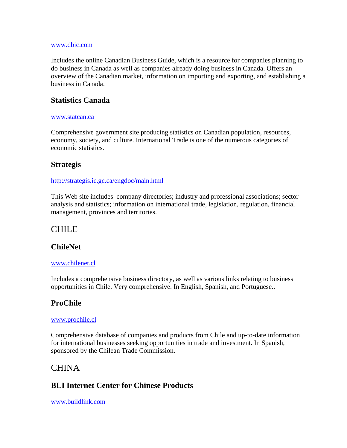#### [www.dbic.com](http://www.dbic.com/)

Includes the online Canadian Business Guide, which is a resource for companies planning to do business in Canada as well as companies already doing business in Canada. Offers an overview of the Canadian market, information on importing and exporting, and establishing a business in Canada.

## **Statistics Canada**

#### [www.statcan.ca](http://www.statcan.ca/)

Comprehensive government site producing statistics on Canadian population, resources, economy, society, and culture. International Trade is one of the numerous categories of economic statistics.

## **Strategis**

### <http://strategis.ic.gc.ca/engdoc/main.html>

This Web site includes company directories; industry and professional associations; sector analysis and statistics; information on international trade, legislation, regulation, financial management, provinces and territories.

# CHILE

## **ChileNet**

### [www.chilenet.cl](http://www.chilenet.cl/)

Includes a comprehensive business directory, as well as various links relating to business opportunities in Chile. Very comprehensive. In English, Spanish, and Portuguese..

## **ProChile**

### [www.prochile.cl](http://www.prochile.cl/)

Comprehensive database of companies and products from Chile and up-to-date information for international businesses seeking opportunities in trade and investment. In Spanish, sponsored by the Chilean Trade Commission.

# CHINA

## **BLI Internet Center for Chinese Products**

[www.buildlink.com](http://www.buildlink.com/)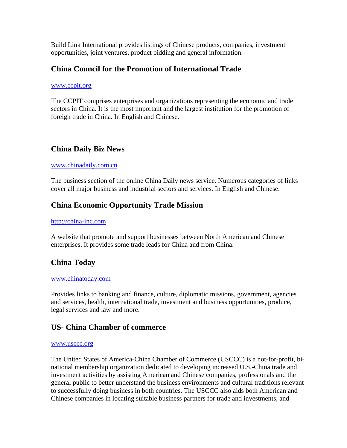Build Link International provides listings of Chinese products, companies, investment opportunities, joint ventures, product bidding and general information.

### **China Council for the Promotion of International Trade**

#### [www.ccpit.org](http://www.ccpit.org/)

The CCPIT comprises enterprises and organizations representing the economic and trade sectors in China. It is the most important and the largest institution for the promotion of foreign trade in China. In English and Chinese.

## **China Daily Biz News**

#### [www.chinadaily.com.cn](http://www.chinadaily.com.cn/)

The business section of the online China Daily news service. Numerous categories of links cover all major business and industrial sectors and services. In English and Chinese.

## **China Economic Opportunity Trade Mission**

#### [http://china-inc.com](http://china-inc.com/)

A website that promote and support businesses between North American and Chinese enterprises. It provides some trade leads for China and from China.

## **China Today**

#### [www.chinatoday.com](http://www.chinatoday.com/)

Provides links to banking and finance, culture, diplomatic missions, government, agencies and services, health, international trade, investment and business opportunities, produce, legal services and law and more.

### **US- China Chamber of commerce**

#### [www.usccc.org](http://www.usccc.org/)

The United States of America-China Chamber of Commerce (USCCC) is a not-for-profit, binational membership organization dedicated to developing increased U.S.-China trade and investment activities by assisting American and Chinese companies, professionals and the general public to better understand the business environments and cultural traditions relevant to successfully doing business in both countries. The USCCC also aids both American and Chinese companies in locating suitable business partners for trade and investments, and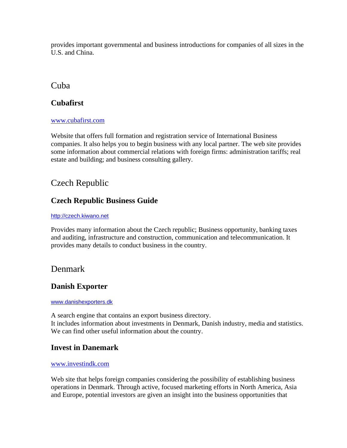provides important governmental and business introductions for companies of all sizes in the U.S. and China.

## Cuba

### **Cubafirst**

#### [www.cubafirst.com](http://www.cubafirst.com/)

Website that offers full formation and registration service of International Business companies. It also helps you to begin business with any local partner. The web site provides some information about commercial relations with foreign firms: administration tariffs; real estate and building; and business consulting gallery.

# Czech Republic

## **Czech Republic Business Guide**

#### [http://czech.kiwano.net](http://czech.kiwano.net/)

Provides many information about the Czech republic; Business opportunity, banking taxes and auditing, infrastructure and construction, communication and telecommunication. It provides many details to conduct business in the country.

# Denmark

## **Danish Exporter**

#### [www.danishexporters.dk](http://www.danishexporters.dk/)

A search engine that contains an export business directory. It includes information about investments in Denmark, Danish industry, media and statistics. We can find other useful information about the country.

### **Invest in Danemark**

### [www.investindk.com](http://www.investindk.com/)

Web site that helps foreign companies considering the possibility of establishing business operations in Denmark. Through active, focused marketing efforts in North America, Asia and Europe, potential investors are given an insight into the business opportunities that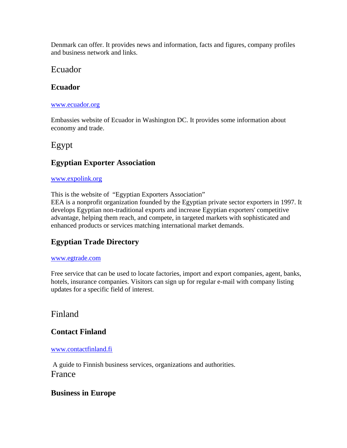Denmark can offer. It provides news and information, facts and figures, company profiles and business network and links.

# Ecuador

### **Ecuador**

#### [www.ecuador.org](http://www.ecuador.org/)

Embassies website of Ecuador in Washington DC. It provides some information about economy and trade.

# Egypt

# **Egyptian Exporter Association**

### [www.expolink.org](http://www.expolink.org/)

This is the website of "Egyptian Exporters Association"

EEA is a nonprofit organization founded by the Egyptian private sector exporters in 1997. It develops Egyptian non-traditional exports and increase Egyptian exporters' competitive advantage, helping them reach, and compete, in targeted markets with sophisticated and enhanced products or services matching international market demands.

# **Egyptian Trade Directory**

### [www.egtrade.com](http://www.egtrade.com/)

Free service that can be used to locate factories, import and export companies, agent, banks, hotels, insurance companies. Visitors can sign up for regular e-mail with company listing updates for a specific field of interest.

# Finland

# **Contact Finland**

### [www.contactfinland.fi](http://www.contactfinland.fi/)

 A guide to Finnish business services, organizations and authorities. France

### **Business in Europe**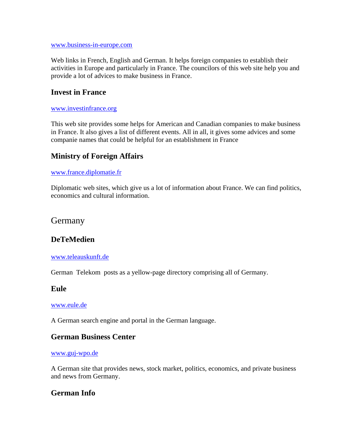[www.business-in-europe.com](http://www.business-in-europe.com/)

Web links in French, English and German. It helps foreign companies to establish their activities in Europe and particularly in France. The councilors of this web site help you and provide a lot of advices to make business in France.

### **Invest in France**

#### [www.investinfrance.org](http://www.investinfrance.org/)

This web site provides some helps for American and Canadian companies to make business in France. It also gives a list of different events. All in all, it gives some advices and some companie names that could be helpful for an establishment in France

## **Ministry of Foreign Affairs**

#### [www.france.diplomatie.fr](http://www.france.diplomatie.fr/)

Diplomatic web sites, which give us a lot of information about France. We can find politics, economics and cultural information.

### Germany

### **DeTeMedien**

#### [www.teleauskunft.de](http://www.teleauskunft.de/)

German Telekom posts as a yellow-page directory comprising all of Germany.

### **Eule**

#### [www.eule.de](http://www.eule.de/)

A German search engine and portal in the German language.

### **German Business Center**

#### [www.guj-wpo.de](http://www.guj-wpo.de/)

A German site that provides news, stock market, politics, economics, and private business and news from Germany.

### **German Info**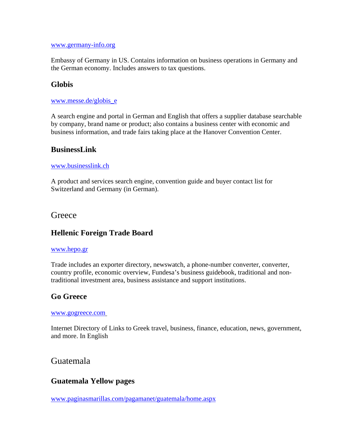#### [www.germany-info.org](http://www.germany-info.org/)

Embassy of Germany in US. Contains information on business operations in Germany and the German economy. Includes answers to tax questions.

### **Globis**

#### [www.messe.de/globis\\_e](http://www.messe.de/globis_e)

A search engine and portal in German and English that offers a supplier database searchable by company, brand name or product; also contains a business center with economic and business information, and trade fairs taking place at the Hanover Convention Center.

### **BusinessLink**

#### [www.businesslink.ch](http://www.businesslink.ch/)

A product and services search engine, convention guide and buyer contact list for Switzerland and Germany (in German).

### **Greece**

## **Hellenic Foreign Trade Board**

#### [www.hepo.gr](http://www.hepo.gr/)

Trade includes an exporter directory, newswatch, a phone-number converter, converter, country profile, economic overview, Fundesa's business guidebook, traditional and nontraditional investment area, business assistance and support institutions.

## **Go Greece**

#### [www.gogreece.com](http://www.gogreece.com/)

Internet Directory of Links to Greek travel, business, finance, education, news, government, and more. In English

## Guatemala

### **Guatemala Yellow pages**

[www.paginasmarillas.com/pagamanet/guatemala/home.aspx](http://www.paginasmarillas.com/pagamanet/guatemala/home.aspx)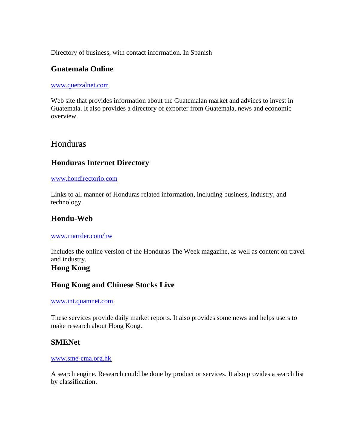Directory of business, with contact information. In Spanish

### **Guatemala Online**

#### [www.quetzalnet.com](http://www.quetzalnet.com/)

Web site that provides information about the Guatemalan market and advices to invest in Guatemala. It also provides a directory of exporter from Guatemala, news and economic overview.

## Honduras

### **Honduras Internet Directory**

#### [www.hondirectorio.com](http://www.hondirectorio.com/)

Links to all manner of Honduras related information, including business, industry, and technology.

### **Hondu-Web**

#### [www.marrder.com/hw](http://www.marrder.com/hw)

Includes the online version of the Honduras The Week magazine, as well as content on travel and industry.

# **Hong Kong**

### **Hong Kong and Chinese Stocks Live**

#### [www.int.quamnet.com](http://www.int.quamnet.com/)

These services provide daily market reports. It also provides some news and helps users to make research about Hong Kong.

### **SMENet**

#### [www.sme-cma.org.hk](http://www.sme-cma.org.hk/)

A search engine. Research could be done by product or services. It also provides a search list by classification.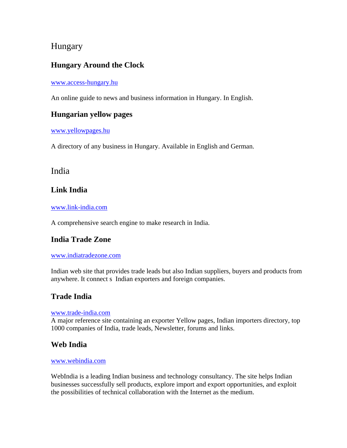# Hungary

# **Hungary Around the Clock**

#### [www.access-hungary.hu](http://www.access-hungary.hu/)

An online guide to news and business information in Hungary. In English.

### **Hungarian yellow pages**

[www.yellowpages.hu](http://www.yellowpages.hu/) 

A directory of any business in Hungary. Available in English and German.

# India

# **Link India**

#### [www.link-india.com](http://www.link-india.com/)

A comprehensive search engine to make research in India.

## **India Trade Zone**

#### [www.indiatradezone.com](http://www.indiatradezone.com/)

Indian web site that provides trade leads but also Indian suppliers, buyers and products from anywhere. It connect s Indian exporters and foreign companies.

# **Trade India**

#### [www.trade-india.com](http://www.trade-india.com/)

A major reference site containing an exporter Yellow pages, Indian importers directory, top 1000 companies of India, trade leads, Newsletter, forums and links.

## **Web India**

#### [www.webindia.com](http://www.webindia.com/)

WebIndia is a leading Indian business and technology consultancy. The site helps Indian businesses successfully sell products, explore import and export opportunities, and exploit the possibilities of technical collaboration with the Internet as the medium.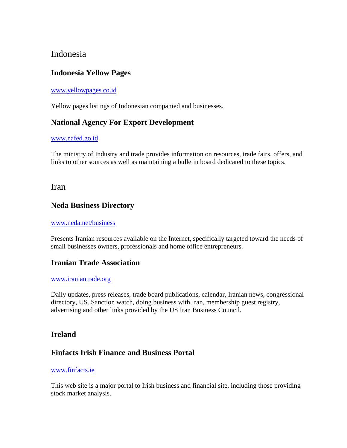# Indonesia

# **Indonesia Yellow Pages**

### [www.yellowpages.co.id](http://www.yellowpages.co.id/)

Yellow pages listings of Indonesian companied and businesses.

## **National Agency For Export Development**

#### [www.nafed.go.id](http://www.nafed.go.id/)

The ministry of Industry and trade provides information on resources, trade fairs, offers, and links to other sources as well as maintaining a bulletin board dedicated to these topics.

### Iran

### **Neda Business Directory**

#### [www.neda.net/business](http://www.neda.net/business)

Presents Iranian resources available on the Internet, specifically targeted toward the needs of small businesses owners, professionals and home office entrepreneurs.

### **Iranian Trade Association**

#### [www.iraniantrade.org](http://www.iraniantrade.org/)

Daily updates, press releases, trade board publications, calendar, Iranian news, congressional directory, US. Sanction watch, doing business with Iran, membership guest registry, advertising and other links provided by the US Iran Business Council.

### **Ireland**

## **Finfacts Irish Finance and Business Portal**

#### [www.finfacts.ie](http://www.finfacts.ie/)

This web site is a major portal to Irish business and financial site, including those providing stock market analysis.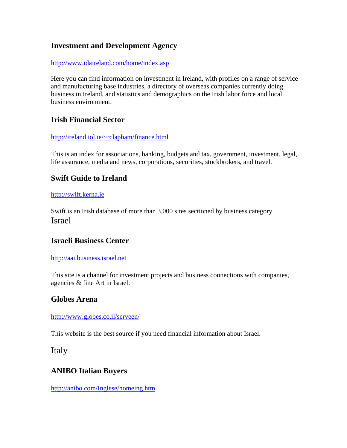## **Investment and Development Agency**

#### <http://www.idaireland.com/home/index.asp>

Here you can find information on investment in Ireland, with profiles on a range of service and manufacturing base industries, a directory of overseas companies currently doing business in Ireland, and statistics and demographics on the Irish labor force and local business environment.

### **Irish Financial Sector**

#### [http://ireland.iol.ie/~rclapham/finance.html](http://ireland.iol.ie/%7Erclapham/finance.html)

This is an index for associations, banking, budgets and tax, government, investment, legal, life assurance, media and news, corporations, securities, stockbrokers, and travel.

## **Swift Guide to Ireland**

#### [http://swift.kerna.ie](http://swift.kerna.ie/)

Swift is an Irish database of more than 3,000 sites sectioned by business category. Israel

# **Israeli Business Center**

#### [http://aai.business.israel.net](http://aai.business.israel.net/)

This site is a channel for investment projects and business connections with companies, agencies & fine Art in Israel.

### **Globes Arena**

#### <http://www.globes.co.il/serveen/>

This website is the best source if you need financial information about Israel.

Italy

## **ANIBO Italian Buyers**

<http://anibo.com/Inglese/homeing.htm>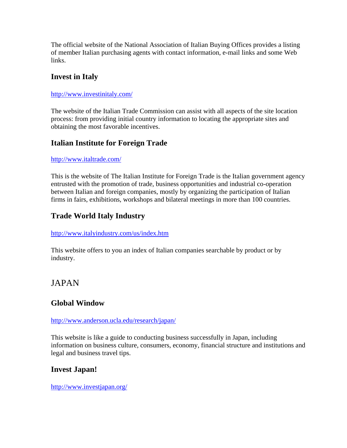The official website of the National Association of Italian Buying Offices provides a listing of member Italian purchasing agents with contact information, e-mail links and some Web links.

## **Invest in Italy**

### <http://www.investinitaly.com/>

The website of the Italian Trade Commission can assist with all aspects of the site location process: from providing initial country information to locating the appropriate sites and obtaining the most favorable incentives.

# **Italian Institute for Foreign Trade**

### <http://www.italtrade.com/>

This is the website of The Italian Institute for Foreign Trade is the Italian government agency entrusted with the promotion of trade, business opportunities and industrial co-operation between Italian and foreign companies, mostly by organizing the participation of Italian firms in fairs, exhibitions, workshops and bilateral meetings in more than 100 countries.

# **Trade World Italy Industry**

### <http://www.italyindustry.com/us/index.htm>

This website offers to you an index of Italian companies searchable by product or by industry.

# JAPAN

## **Global Window**

### <http://www.anderson.ucla.edu/research/japan/>

This website is like a guide to conducting business successfully in Japan, including information on business culture, consumers, economy, financial structure and institutions and legal and business travel tips.

## **Invest Japan!**

### <http://www.investjapan.org/>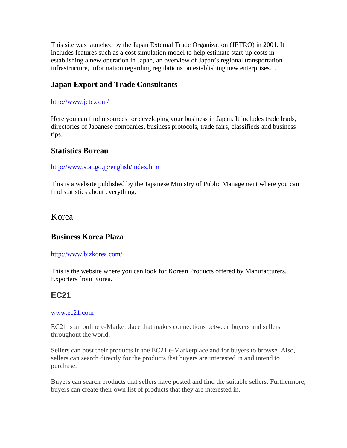This site was launched by the Japan External Trade Organization (JETRO) in 2001. It includes features such as a cost simulation model to help estimate start-up costs in establishing a new operation in Japan, an overview of Japan's regional transportation infrastructure, information regarding regulations on establishing new enterprises…

# **Japan Export and Trade Consultants**

#### <http://www.jetc.com/>

Here you can find resources for developing your business in Japan. It includes trade leads, directories of Japanese companies, business protocols, trade fairs, classifieds and business tips.

### **Statistics Bureau**

#### <http://www.stat.go.jp/english/index.htm>

This is a website published by the Japanese Ministry of Public Management where you can find statistics about everything.

# Korea

### **Business Korea Plaza**

#### <http://www.bizkorea.com/>

This is the website where you can look for Korean Products offered by Manufacturers, Exporters from Korea.

## **EC21**

#### [www.ec21.com](http://www.ec21.com/)

EC21 is an online e-Marketplace that makes connections between buyers and sellers throughout the world.

Sellers can post their products in the EC21 e-Marketplace and for buyers to browse. Also, sellers can search directly for the products that buyers are interested in and intend to purchase.

Buyers can search products that sellers have posted and find the suitable sellers. Furthermore, buyers can create their own list of products that they are interested in.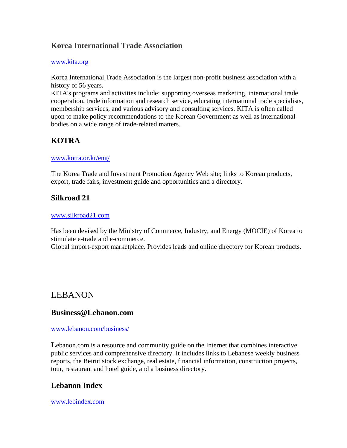## **Korea International Trade Association**

#### [www.kita.org](http://www.kita.org/)

Korea International Trade Association is the largest non-profit business association with a history of 56 years.

KITA's programs and activities include: supporting overseas marketing, international trade cooperation, trade information and research service, educating international trade specialists, membership services, and various advisory and consulting services. KITA is often called upon to make policy recommendations to the Korean Government as well as international bodies on a wide range of trade-related matters.

# **KOTRA**

#### [www.kotra.or.kr/eng/](http://www.kotra.or.kr/eng/)

The Korea Trade and Investment Promotion Agency Web site; links to Korean products, export, trade fairs, investment guide and opportunities and a directory.

### **Silkroad 21**

#### [www.silkroad21.com](http://www.silkroad21.com/)

Has been devised by the Ministry of Commerce, Industry, and Energy (MOCIE) of Korea to stimulate e-trade and e-commerce.

Global import-export marketplace. Provides leads and online directory for Korean products.

# LEBANON

### **Business@Lebanon.com**

#### [www.lebanon.com/business/](http://www.lebanon.com/business/)

Lebanon.com is a resource and community guide on the Internet that combines interactive public services and comprehensive directory. It includes links to Lebanese weekly business reports, the Beirut stock exchange, real estate, financial information, construction projects, tour, restaurant and hotel guide, and a business directory.

## **Lebanon Index**

[www.lebindex.com](http://www.lebindex.com/)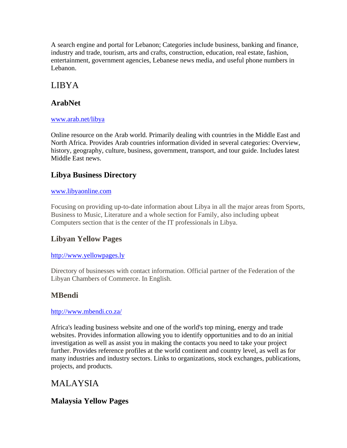A search engine and portal for Lebanon; Categories include business, banking and finance, industry and trade, tourism, arts and crafts, construction, education, real estate, fashion, entertainment, government agencies, Lebanese news media, and useful phone numbers in Lebanon.

# LIBYA

# **ArabNet**

### [www.arab.net/libya](http://www.arab.net/libya)

Online resource on the Arab world. Primarily dealing with countries in the Middle East and North Africa. Provides Arab countries information divided in several categories: Overview, history, geography, culture, business, government, transport, and tour guide. Includes latest Middle East news.

# **Libya Business Directory**

### [www.libyaonline.com](http://www.libyaonline.com/)

Focusing on providing up-to-date information about Libya in all the major areas from Sports, Business to Music, Literature and a whole section for Family, also including upbeat Computers section that is the center of the IT professionals in Libya.

# **Libyan Yellow Pages**

### [http://www.yellowpages.ly](http://www.yellowpages.ly/)

Directory of businesses with contact information. Official partner of the Federation of the Libyan Chambers of Commerce. In English.

# **MBendi**

### <http://www.mbendi.co.za/>

Africa's leading business website and one of the world's top mining, energy and trade websites. Provides information allowing you to identify opportunities and to do an initial investigation as well as assist you in making the contacts you need to take your project further. Provides reference profiles at the world continent and country level, as well as for many industries and industry sectors. Links to organizations, stock exchanges, publications, projects, and products.

# MALAYSIA

# **Malaysia Yellow Pages**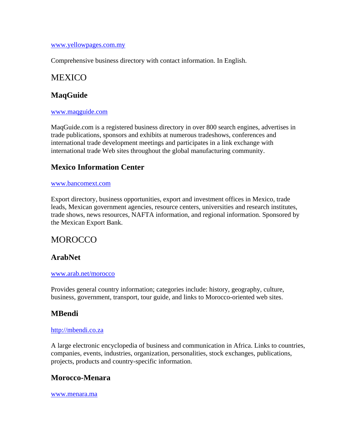#### [www.yellowpages.com.my](http://www.yellowpages.com.my/)

Comprehensive business directory with contact information. In English.

## MEXICO

### **MaqGuide**

#### [www.maqguide.com](http://www.maqguide.com/)

MaqGuide.com is a registered business directory in over 800 search engines, advertises in trade publications, sponsors and exhibits at numerous tradeshows, conferences and international trade development meetings and participates in a link exchange with international trade Web sites throughout the global manufacturing community.

### **Mexico Information Center**

#### [www.bancomext.com](http://www.bancomext.com/)

Export directory, business opportunities, export and investment offices in Mexico, trade leads, Mexican government agencies, resource centers, universities and research institutes, trade shows, news resources, NAFTA information, and regional information. Sponsored by the Mexican Export Bank.

# **MOROCCO**

### **ArabNet**

#### [www.arab.net/morocco](http://www.arab.net/morocco)

Provides general country information; categories include: history, geography, culture, business, government, transport, tour guide, and links to Morocco-oriented web sites.

## **MBendi**

#### [http://mbendi.co.za](http://mbendi.co.za/)

A large electronic encyclopedia of business and communication in Africa. Links to countries, companies, events, industries, organization, personalities, stock exchanges, publications, projects, products and country-specific information.

### **Morocco-Menara**

[www.menara.ma](http://www.menara.ma/)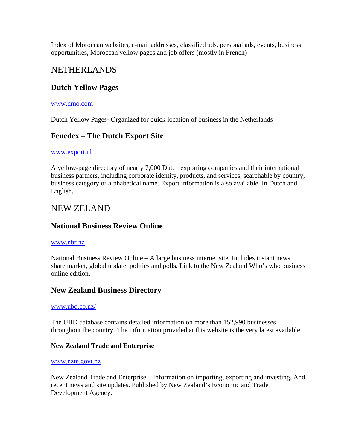Index of Moroccan websites, e-mail addresses, classified ads, personal ads, events, business opportunities, Moroccan yellow pages and job offers (mostly in French)

# NETHERLANDS

### **Dutch Yellow Pages**

#### [www.dmo.com](http://www.dmo.com/)

Dutch Yellow Pages- Organized for quick location of business in the Netherlands

### **Fenedex – The Dutch Export Site**

#### [www.export.nl](http://www.export.nl/)

A yellow-page directory of nearly 7,000 Dutch exporting companies and their international business partners, including corporate identity, products, and services, searchable by country, business category or alphabetical name. Export information is also available. In Dutch and English.

## NEW ZELAND

### **National Business Review Online**

#### [www.nbr.nz](http://www.nbr.nz/)

National Business Review Online – A large business internet site. Includes instant news, share market, global update, politics and polls. Link to the New Zealand Who's who business online edition.

### **New Zealand Business Directory**

#### [www.ubd.co.nz/](http://www.ubd.co.nz/)

The UBD database contains detailed information on more than 152,990 businesses throughout the country. The information provided at this website is the very latest available.

#### **New Zealand Trade and Enterprise**

#### [www.nzte.govt.nz](http://www.nzte.govt.nz/)

New Zealand Trade and Enterprise – Information on importing, exporting and investing. And recent news and site updates. Published by New Zealand's Economic and Trade Development Agency.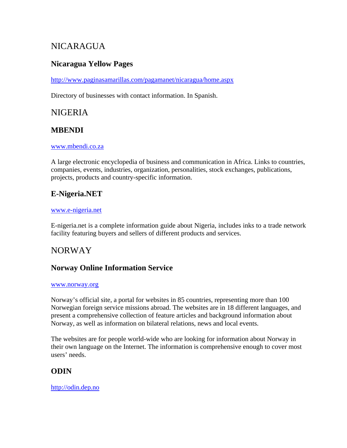# **NICARAGUA**

# **Nicaragua Yellow Pages**

<http://www.paginasamarillas.com/pagamanet/nicaragua/home.aspx>

Directory of businesses with contact information. In Spanish.

# NIGERIA

# **MBENDI**

#### [www.mbendi.co.za](http://www.mbendi.co.za/)

A large electronic encyclopedia of business and communication in Africa. Links to countries, companies, events, industries, organization, personalities, stock exchanges, publications, projects, products and country-specific information.

# **E-Nigeria.NET**

#### [www.e-nigeria.net](http://www.e-nigeria.net/)

E-nigeria.net is a complete information guide about Nigeria, includes inks to a trade network facility featuring buyers and sellers of different products and services.

# NORWAY

## **Norway Online Information Service**

#### [www.norway.org](http://www.norway.org/)

Norway's official site, a portal for websites in 85 countries, representing more than 100 Norwegian foreign service missions abroad. The websites are in 18 different languages, and present a comprehensive collection of feature articles and background information about Norway, as well as information on bilateral relations, news and local events.

The websites are for people world-wide who are looking for information about Norway in their own language on the Internet. The information is comprehensive enough to cover most users' needs.

# **ODIN**

### [http://odin.dep.no](http://odin.dep.no/)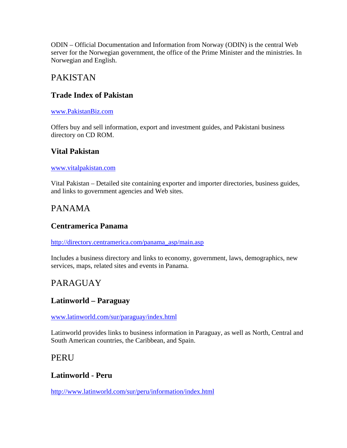ODIN – Official Documentation and Information from Norway (ODIN) is the central Web server for the Norwegian government, the office of the Prime Minister and the ministries. In Norwegian and English.

# PAKISTAN

## **Trade Index of Pakistan**

### [www.PakistanBiz.com](http://www.pakistanbiz.com/)

Offers buy and sell information, export and investment guides, and Pakistani business directory on CD ROM.

## **Vital Pakistan**

#### [www.vitalpakistan.com](http://www.vitalpakistan.com/)

Vital Pakistan – Detailed site containing exporter and importer directories, business guides, and links to government agencies and Web sites.

# PANAMA

## **Centramerica Panama**

[http://directory.centramerica.com/panama\\_asp/main.asp](http://directory.centramerica.com/panama_asp/main.asp)

Includes a business directory and links to economy, government, laws, demographics, new services, maps, related sites and events in Panama.

# PARAGUAY

## **Latinworld – Paraguay**

[www.latinworld.com/sur/paraguay/index.html](http://www.latinworld.com/sur/paraguay/index.html)

Latinworld provides links to business information in Paraguay, as well as North, Central and South American countries, the Caribbean, and Spain.

## PERU

## **Latinworld - Peru**

<http://www.latinworld.com/sur/peru/information/index.html>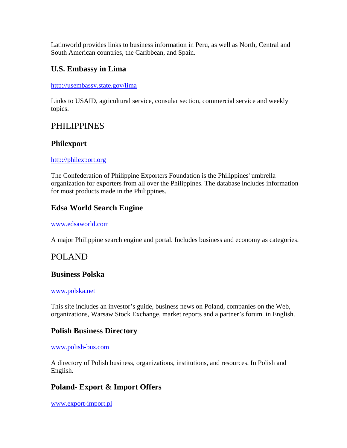Latinworld provides links to business information in Peru, as well as North, Central and South American countries, the Caribbean, and Spain.

## **U.S. Embassy in Lima**

#### <http://usembassy.state.gov/lima>

Links to USAID, agricultural service, consular section, commercial service and weekly topics.

# PHILIPPINES

### **Philexport**

### [http://philexport.org](http://philexport.org/)

The Confederation of Philippine Exporters Foundation is the Philippines' umbrella organization for exporters from all over the Philippines. The database includes information for most products made in the Philippines.

# **Edsa World Search Engine**

#### [www.edsaworld.com](http://www.edsaworld.com/)

A major Philippine search engine and portal. Includes business and economy as categories.

## POLAND

### **Business Polska**

#### [www.polska.net](http://www.polska.net/)

This site includes an investor's guide, business news on Poland, companies on the Web, organizations, Warsaw Stock Exchange, market reports and a partner's forum. in English.

## **Polish Business Directory**

#### [www.polish-bus.com](http://www.polish-bus.com/)

A directory of Polish business, organizations, institutions, and resources. In Polish and English.

## **Poland- Export & Import Offers**

[www.export-import.pl](http://www.export-import.pl/)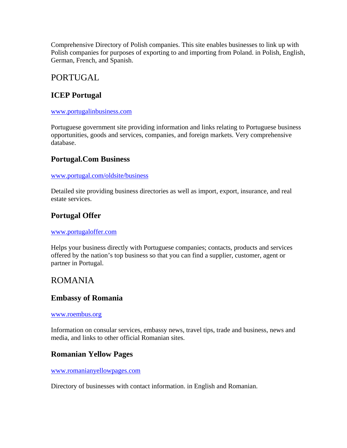Comprehensive Directory of Polish companies. This site enables businesses to link up with Polish companies for purposes of exporting to and importing from Poland. in Polish, English, German, French, and Spanish.

# PORTUGAL

# **ICEP Portugal**

#### [www.portugalinbusiness.com](http://www.portugalinbusiness.com/)

Portuguese government site providing information and links relating to Portuguese business opportunities, goods and services, companies, and foreign markets. Very comprehensive database.

## **Portugal.Com Business**

#### [www.portugal.com/oldsite/business](http://www.portugal.com/oldsite/business)

Detailed site providing business directories as well as import, export, insurance, and real estate services.

# **Portugal Offer**

#### [www.portugaloffer.com](http://www.portugaloffer.com/)

Helps your business directly with Portuguese companies; contacts, products and services offered by the nation's top business so that you can find a supplier, customer, agent or partner in Portugal.

# ROMANIA

### **Embassy of Romania**

#### [www.roembus.org](http://www.roembus.org/)

Information on consular services, embassy news, travel tips, trade and business, news and media, and links to other official Romanian sites.

## **Romanian Yellow Pages**

[www.romanianyellowpages.com](http://www.romanianyellowpages.com/)

Directory of businesses with contact information. in English and Romanian.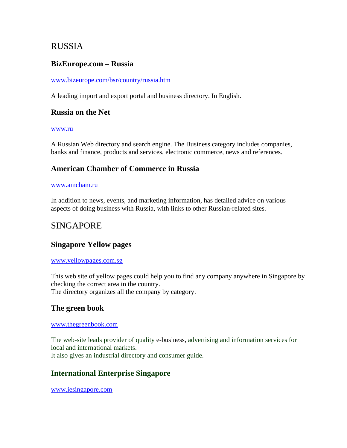# RUSSIA

### **BizEurope.com – Russia**

#### [www.bizeurope.com/bsr/country/russia.htm](http://www.bizeurope.com/bsr/country/russia.htm)

A leading import and export portal and business directory. In English.

### **Russia on the Net**

#### [www.ru](http://www.ru/)

A Russian Web directory and search engine. The Business category includes companies, banks and finance, products and services, electronic commerce, news and references.

### **American Chamber of Commerce in Russia**

#### [www.amcham.ru](http://www.amcham.ru/)

In addition to news, events, and marketing information, has detailed advice on various aspects of doing business with Russia, with links to other Russian-related sites.

# SINGAPORE

### **Singapore Yellow pages**

#### [www.yellowpages.com.sg](http://www.yellowpages.com.sg/)

This web site of yellow pages could help you to find any company anywhere in Singapore by checking the correct area in the country. The directory organizes all the company by category.

### **The green book**

#### [www.thegreenbook.com](http://www.thegreenbook.com/)

The web-site leads provider of quality e-business, advertising and information services for local and international markets. It also gives an industrial directory and consumer guide.

### **International Enterprise Singapore**

[www.iesingapore.com](http://www.iesingapore.com/)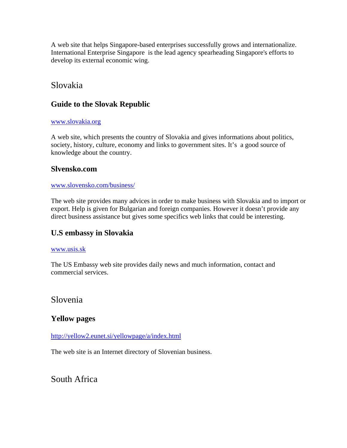A web site that helps Singapore-based enterprises successfully grows and internationalize. International Enterprise Singapore is the lead agency spearheading Singapore's efforts to develop its external economic wing.

# Slovakia

# **Guide to the Slovak Republic**

### [www.slovakia.org](http://www.slovakia.org/)

A web site, which presents the country of Slovakia and gives informations about politics, society, history, culture, economy and links to government sites. It's a good source of knowledge about the country.

### **Slvensko.com**

#### [www.slovensko.com/business/](http://www.slovensko.com/business/)

The web site provides many advices in order to make business with Slovakia and to import or export. Help is given for Bulgarian and foreign companies. However it doesn't provide any direct business assistance but gives some specifics web links that could be interesting.

## **U.S embassy in Slovakia**

### [www.usis.sk](http://www.usis.sk/)

The US Embassy web site provides daily news and much information, contact and commercial services.

Slovenia

## **Yellow pages**

<http://yellow2.eunet.si/yellowpage/a/index.html>

The web site is an Internet directory of Slovenian business.

South Africa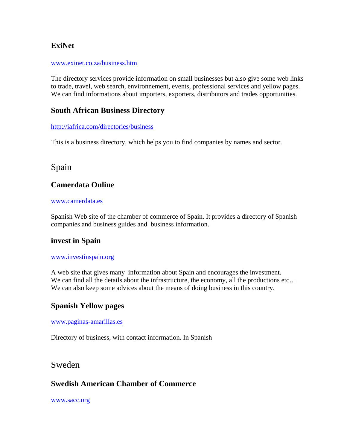# **ExiNet**

#### [www.exinet.co.za/business.htm](http://www.exinet.co.za/business.htm)

The directory services provide information on small businesses but also give some web links to trade, travel, web search, environnement, events, professional services and yellow pages. We can find informations about importers, exporters, distributors and trades opportunities.

### **South African Business Directory**

#### <http://iafrica.com/directories/business>

This is a business directory, which helps you to find companies by names and sector.

# Spain

## **Camerdata Online**

#### [www.camerdata.es](http://www.camerdata.es/)

Spanish Web site of the chamber of commerce of Spain. It provides a directory of Spanish companies and business guides and business information.

### **invest in Spain**

#### [www.investinspain.org](http://www.investinspain.org/)

A web site that gives many information about Spain and encourages the investment. We can find all the details about the infrastructure, the economy, all the productions etc... We can also keep some advices about the means of doing business in this country.

### **Spanish Yellow pages**

#### [www.paginas-amarillas.es](http://www.paginas-amarillas.es/)

Directory of business, with contact information. In Spanish

## Sweden

## **Swedish American Chamber of Commerce**

[www.sacc.org](http://www.sacc.org/)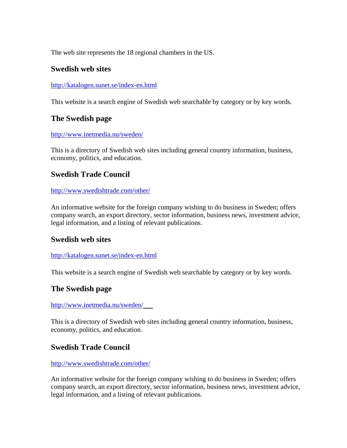The web site represents the 18 regional chambers in the US.

### **Swedish web sites**

#### <http://katalogen.sunet.se/index-en.html>

This website is a search engine of Swedish web searchable by category or by key words.

### **The Swedish page**

#### <http://www.inetmedia.nu/sweden/>

This is a directory of Swedish web sites including general country information, business, economy, politics, and education.

### **Swedish Trade Council**

#### <http://www.swedishtrade.com/other/>

An informative website for the foreign company wishing to do business in Sweden; offers company search, an export directory, sector information, business news, investment advice, legal information, and a listing of relevant publications.

### **Swedish web sites**

#### <http://katalogen.sunet.se/index-en.html>

This website is a search engine of Swedish web searchable by category or by key words.

## **The Swedish page**

#### <http://www.inetmedia.nu/sweden/>

This is a directory of Swedish web sites including general country information, business, economy, politics, and education.

### **Swedish Trade Council**

#### <http://www.swedishtrade.com/other/>

An informative website for the foreign company wishing to do business in Sweden; offers company search, an export directory, sector information, business news, investment advice, legal information, and a listing of relevant publications.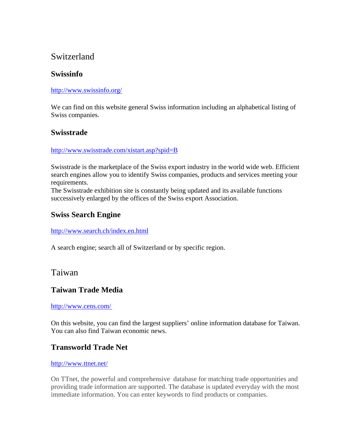# Switzerland

# **Swissinfo**

### <http://www.swissinfo.org/>

We can find on this website general Swiss information including an alphabetical listing of Swiss companies.

### **Swisstrade**

#### <http://www.swisstrade.com/xistart.asp?spid=B>

Swisstrade is the marketplace of the Swiss export industry in the world wide web. Efficient search engines allow you to identify Swiss companies, products and services meeting your requirements.

The Swisstrade exhibition site is constantly being updated and its available functions successively enlarged by the offices of the Swiss export Association.

### **Swiss Search Engine**

### <http://www.search.ch/index.en.html>

A search engine; search all of Switzerland or by specific region.

## Taiwan

## **Taiwan Trade Media**

### [http://www.cens.com/](http://www.cpc.org.tw/english/welcome.htm)

On this website, you can find the largest suppliers' online information database for Taiwan. You can also find Taiwan economic news.

## **Transworld Trade Net**

### <http://www.ttnet.net/>

On TTnet, the powerful and comprehensive database for matching trade opportunities and providing trade information are supported. The database is updated everyday with the most immediate information. You can enter keywords to find products or companies.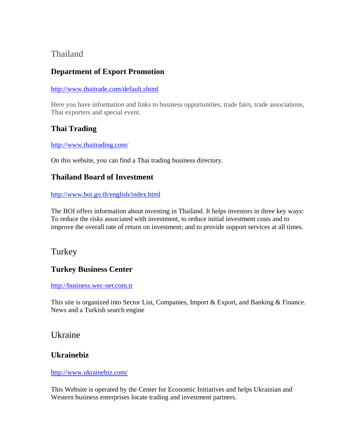# Thailand

# **Department of Export Promotion**

### <http://www.thaitrade.com/default.shtml>

Here you have information and links to business opportunities, trade fairs, trade associations, Thai exporters and special event.

# **Thai Trading**

<http://www.thaitrading.com/>

On this website, you can find a Thai trading business directory.

# **Thailand Board of Investment**

<http://www.boi.go.th/english/index.html>

The BOI offers information about investing in Thailand. It helps investors in three key ways: To reduce the risks associated with investment, to reduce initial investment costs and to improve the overall rate of return on investment; and to provide support services at all times.

# **Turkey**

# **Turkey Business Center**

[http://business.wec-net.com.tr](http://business.wec-net.com.tr/)

This site is organized into Sector List, Companies, Import & Export, and Banking & Finance. News and a Turkish search engine

# Ukraine

## **Ukrainebiz**

### <http://www.ukrainebiz.com/>

This Website is operated by the Center for Economic Initiatives and helps Ukrainian and Western business enterprises locate trading and investment partners.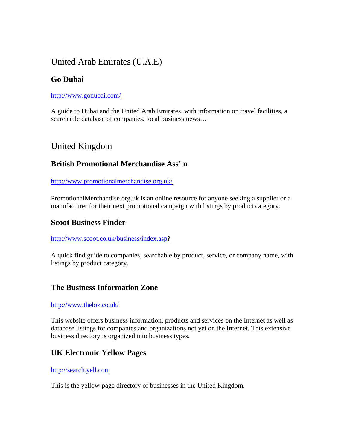# United Arab Emirates (U.A.E)

# **Go Dubai**

### <http://www.godubai.com/>

A guide to Dubai and the United Arab Emirates, with information on travel facilities, a searchable database of companies, local business news…

# United Kingdom

# **British Promotional Merchandise Ass' n**

<http://www.promotionalmerchandise.org.uk/>

PromotionalMerchandise.org.uk is an online resource for anyone seeking a supplier or a manufacturer for their next promotional campaign with listings by product category.

### **Scoot Business Finder**

### <http://www.scoot.co.uk/business/index.asp>?

A quick find guide to companies, searchable by product, service, or company name, with listings by product category.

## **The Business Information Zone**

### <http://www.thebiz.co.uk/>

This website offers business information, products and services on the Internet as well as database listings for companies and organizations not yet on the Internet. This extensive business directory is organized into business types.

# **UK Electronic Yellow Pages**

### [http://search.yell.com](http://search.yell.com/)

This is the yellow-page directory of businesses in the United Kingdom.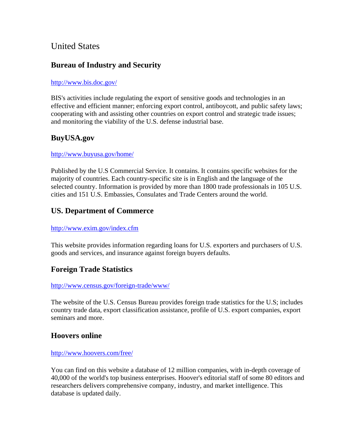# United States

# **Bureau of Industry and Security**

### <http://www.bis.doc.gov/>

BIS's activities include regulating the export of sensitive goods and technologies in an effective and efficient manner; enforcing export control, antiboycott, and public safety laws; cooperating with and assisting other countries on export control and strategic trade issues; and monitoring the viability of the U.S. defense industrial base.

# **BuyUSA.gov**

### <http://www.buyusa.gov/home/>

Published by the U.S Commercial Service. It contains. It contains specific websites for the majority of countries. Each country-specific site is in English and the language of the selected country. Information is provided by more than 1800 trade professionals in 105 U.S. cities and 151 U.S. Embassies, Consulates and Trade Centers around the world.

## **US. Department of Commerce**

### <http://www.exim.gov/index.cfm>

This website provides information regarding loans for U.S. exporters and purchasers of U.S. goods and services, and insurance against foreign buyers defaults.

## **Foreign Trade Statistics**

#### <http://www.census.gov/foreign-trade/www/>

The website of the U.S. Census Bureau provides foreign trade statistics for the U.S; includes country trade data, export classification assistance, profile of U.S. export companies, export seminars and more.

## **Hoovers online**

#### <http://www.hoovers.com/free/>

You can find on this website a database of 12 million companies, with in-depth coverage of 40,000 of the world's top business enterprises. Hoover's editorial staff of some 80 editors and researchers delivers comprehensive company, industry, and market intelligence. This database is updated daily.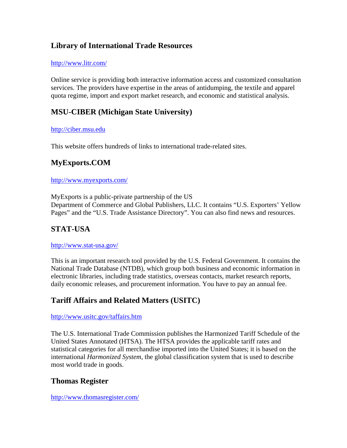# **Library of International Trade Resources**

#### <http://www.litr.com/>

Online service is providing both interactive information access and customized consultation services. The providers have expertise in the areas of antidumping, the textile and apparel quota regime, import and export market research, and economic and statistical analysis.

# **MSU-CIBER (Michigan State University)**

### [http://ciber.msu.edu](http://ciber.msu.edu/)

This website offers hundreds of links to international trade-related sites.

## **MyExports.COM**

#### <http://www.myexports.com/>

MyExports is a public-private partnership of the US Department of Commerce and Global Publishers, LLC. It contains "U.S. Exporters' Yellow Pages" and the "U.S. Trade Assistance Directory". You can also find news and resources.

## **STAT-USA**

#### <http://www.stat-usa.gov/>

This is an important research tool provided by the U.S. Federal Government. It contains the National Trade Database (NTDB), which group both business and economic information in electronic libraries, including trade statistics, overseas contacts, market research reports, daily economic releases, and procurement information. You have to pay an annual fee.

## **Tariff Affairs and Related Matters (USITC)**

### <http://www.usitc.gov/taffairs.htm>

The U.S. International Trade Commission publishes the Harmonized Tariff Schedule of the United States Annotated (HTSA). The HTSA provides the applicable tariff rates and statistical categories for all merchandise imported into the United States; it is based on the international *Harmonized System*, the global classification system that is used to describe most world trade in goods.

## **Thomas Register**

<http://www.thomasregister.com/>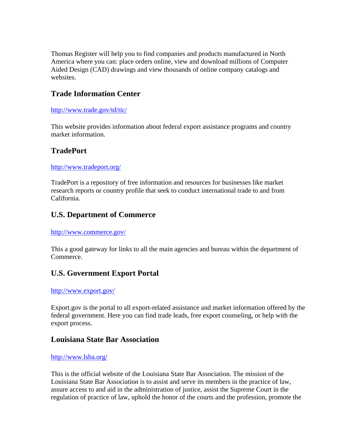Thomas Register will help you to find companies and products manufactured in North America where you can: place orders online, view and download millions of Computer Aided Design (CAD) drawings and view thousands of online company catalogs and websites.

### **Trade Information Center**

#### [http://www.trade.gov/td/tic/](http://www.tradeport.org/)

This website provides information about federal export assistance programs and country market information.

### **TradePort**

#### <http://www.tradeport.org/>

TradePort is a repository of free information and resources for businesses like market research reports or country profile that seek to conduct international trade to and from California.

### **U.S. Department of Commerce**

#### <http://www.commerce.gov/>

This a good gateway for links to all the main agencies and bureau within the department of Commerce.

## **U.S. Government Export Portal**

#### <http://www.export.gov/>

Export.gov is the portal to all export-related assistance and market information offered by the federal government. Here you can find trade leads, free export counseling, or help with the export process.

### **Louisiana State Bar Association**

#### <http://www.lsba.org/>

This is the official website of the Louisiana State Bar Association. The mission of the Louisiana State Bar Association is to assist and serve its members in the practice of law, assure access to and aid in the administration of justice, assist the Supreme Court in the regulation of practice of law, uphold the honor of the courts and the profession, promote the